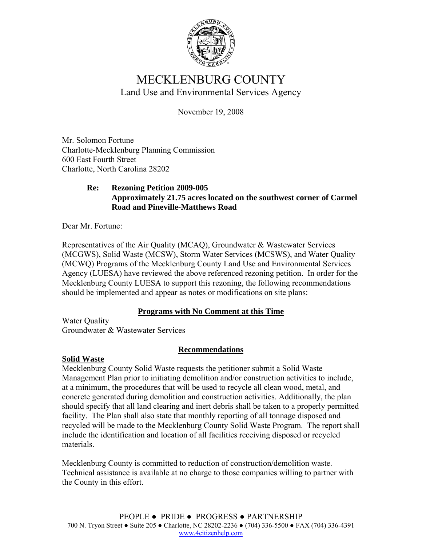

# MECKLENBURG COUNTY Land Use and Environmental Services Agency

November 19, 2008

Mr. Solomon Fortune Charlotte-Mecklenburg Planning Commission 600 East Fourth Street Charlotte, North Carolina 28202

#### **Re: Rezoning Petition 2009-005 Approximately 21.75 acres located on the southwest corner of Carmel Road and Pineville-Matthews Road**

Dear Mr. Fortune:

Representatives of the Air Quality (MCAQ), Groundwater & Wastewater Services (MCGWS), Solid Waste (MCSW), Storm Water Services (MCSWS), and Water Quality (MCWQ) Programs of the Mecklenburg County Land Use and Environmental Services Agency (LUESA) have reviewed the above referenced rezoning petition. In order for the Mecklenburg County LUESA to support this rezoning, the following recommendations should be implemented and appear as notes or modifications on site plans:

### **Programs with No Comment at this Time**

Water Quality Groundwater & Wastewater Services

### **Recommendations**

### **Solid Waste**

Mecklenburg County Solid Waste requests the petitioner submit a Solid Waste Management Plan prior to initiating demolition and/or construction activities to include, at a minimum, the procedures that will be used to recycle all clean wood, metal, and concrete generated during demolition and construction activities. Additionally, the plan should specify that all land clearing and inert debris shall be taken to a properly permitted facility. The Plan shall also state that monthly reporting of all tonnage disposed and recycled will be made to the Mecklenburg County Solid Waste Program. The report shall include the identification and location of all facilities receiving disposed or recycled materials.

Mecklenburg County is committed to reduction of construction/demolition waste. Technical assistance is available at no charge to those companies willing to partner with the County in this effort.